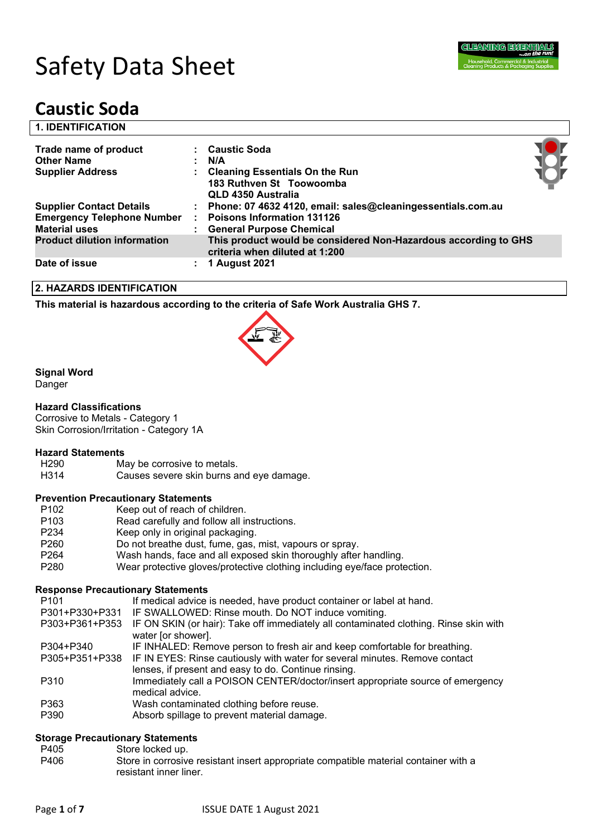

# Safety Data Sheet

## **Caustic Soda**

| <b>1. IDENTIFICATION</b>                                                                     |                                                                                                                                  |  |
|----------------------------------------------------------------------------------------------|----------------------------------------------------------------------------------------------------------------------------------|--|
| Trade name of product<br><b>Other Name</b>                                                   | : Caustic Soda<br>: N/A                                                                                                          |  |
| <b>Supplier Address</b>                                                                      | <b>Cleaning Essentials On the Run</b><br>183 Ruthven St Toowoomba<br>QLD 4350 Australia                                          |  |
| <b>Supplier Contact Details</b><br><b>Emergency Telephone Number</b><br><b>Material uses</b> | : Phone: 07 4632 4120, email: sales@cleaningessentials.com.au<br><b>Poisons Information 131126</b><br>: General Purpose Chemical |  |
| <b>Product dilution information</b>                                                          | This product would be considered Non-Hazardous according to GHS<br>criteria when diluted at 1:200                                |  |
| Date of issue                                                                                | 1 August 2021                                                                                                                    |  |

#### **2. HAZARDS IDENTIFICATION**

**This material is hazardous according to the criteria of Safe Work Australia GHS 7.**



#### **Signal Word**

Danger

#### **Hazard Classifications**

Corrosive to Metals - Category 1 Skin Corrosion/Irritation - Category 1A

### **Hazard Statements**

H290 May be corrosive to metals.<br>H314 Causes severe skin burns a Causes severe skin burns and eye damage.

#### **Prevention Precautionary Statements**

- P102 Keep out of reach of children.
- P103 Read carefully and follow all instructions.
- P234 Keep only in original packaging.
- P260 Do not breathe dust, fume, gas, mist, vapours or spray.
- P264 Wash hands, face and all exposed skin thoroughly after handling.
- P280 Wear protective gloves/protective clothing including eye/face protection.

#### **Response Precautionary Statements**

- P301+P330+P331 IF SWALLOWED: Rinse mouth. Do NOT induce vomiting.
- P303+P361+P353 IF ON SKIN (or hair): Take off immediately all contaminated clothing. Rinse skin with water [or shower].
- P304+P340 IF INHALED: Remove person to fresh air and keep comfortable for breathing.
- P305+P351+P338 IF IN EYES: Rinse cautiously with water for several minutes. Remove contact lenses, if present and easy to do. Continue rinsing.
- P310 Immediately call a POISON CENTER/doctor/insert appropriate source of emergency medical advice.
- P363 Wash contaminated clothing before reuse.
- P390 Absorb spillage to prevent material damage.

#### **Storage Precautionary Statements**

- P405 Store locked up.
- P406 Store in corrosive resistant insert appropriate compatible material container with a resistant inner liner.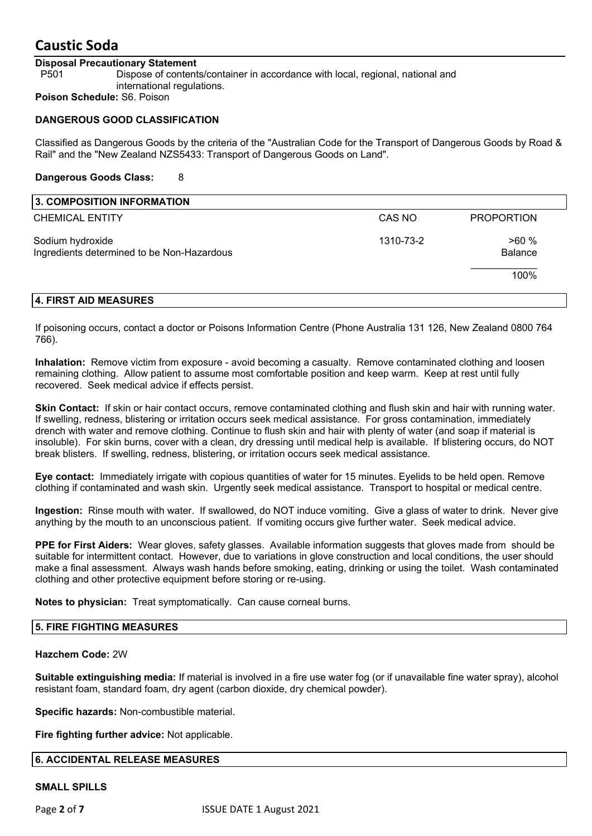#### **Disposal Precautionary Statement**

P501 Dispose of contents/container in accordance with local, regional, national and international regulations.

**Poison Schedule:** S6. Poison

#### **DANGEROUS GOOD CLASSIFICATION**

Classified as Dangerous Goods by the criteria of the "Australian Code for the Transport of Dangerous Goods by Road & Rail" and the "New Zealand NZS5433: Transport of Dangerous Goods on Land".

#### **Dangerous Goods Class:** 8

| 3. COMPOSITION INFORMATION                                     |           |                   |
|----------------------------------------------------------------|-----------|-------------------|
| <b>CHEMICAL ENTITY</b>                                         | CAS NO    | <b>PROPORTION</b> |
| Sodium hydroxide<br>Ingredients determined to be Non-Hazardous | 1310-73-2 | >60%<br>Balance   |
|                                                                |           | 100%              |
| 4. FIRST AID MEASURES                                          |           |                   |

### If poisoning occurs, contact a doctor or Poisons Information Centre (Phone Australia 131 126, New Zealand 0800 764 766).

**Inhalation:** Remove victim from exposure - avoid becoming a casualty. Remove contaminated clothing and loosen remaining clothing. Allow patient to assume most comfortable position and keep warm. Keep at rest until fully recovered. Seek medical advice if effects persist.

**Skin Contact:** If skin or hair contact occurs, remove contaminated clothing and flush skin and hair with running water. If swelling, redness, blistering or irritation occurs seek medical assistance. For gross contamination, immediately drench with water and remove clothing. Continue to flush skin and hair with plenty of water (and soap if material is insoluble). For skin burns, cover with a clean, dry dressing until medical help is available. If blistering occurs, do NOT break blisters. If swelling, redness, blistering, or irritation occurs seek medical assistance.

**Eye contact:** Immediately irrigate with copious quantities of water for 15 minutes. Eyelids to be held open. Remove clothing if contaminated and wash skin. Urgently seek medical assistance. Transport to hospital or medical centre.

**Ingestion:** Rinse mouth with water. If swallowed, do NOT induce vomiting. Give a glass of water to drink. Never give anything by the mouth to an unconscious patient. If vomiting occurs give further water. Seek medical advice.

**PPE for First Aiders:** Wear gloves, safety glasses. Available information suggests that gloves made from should be suitable for intermittent contact. However, due to variations in glove construction and local conditions, the user should make a final assessment. Always wash hands before smoking, eating, drinking or using the toilet. Wash contaminated clothing and other protective equipment before storing or re-using.

**Notes to physician:** Treat symptomatically. Can cause corneal burns.

#### **5. FIRE FIGHTING MEASURES**

#### **Hazchem Code:** 2W

**Suitable extinguishing media:** If material is involved in a fire use water fog (or if unavailable fine water spray), alcohol resistant foam, standard foam, dry agent (carbon dioxide, dry chemical powder).

**Specific hazards:** Non-combustible material.

**Fire fighting further advice:** Not applicable.

#### **6. ACCIDENTAL RELEASE MEASURES**

#### **SMALL SPILLS**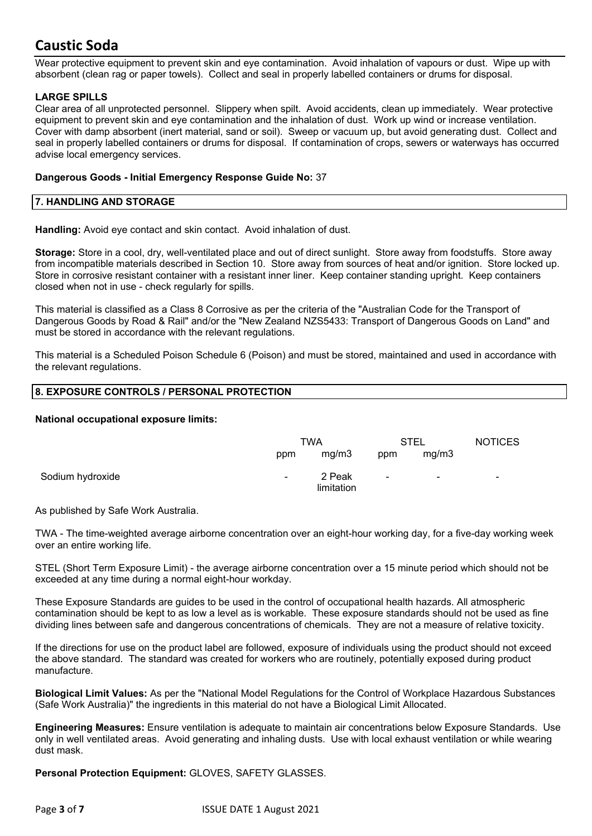Wear protective equipment to prevent skin and eye contamination. Avoid inhalation of vapours or dust. Wipe up with absorbent (clean rag or paper towels). Collect and seal in properly labelled containers or drums for disposal.

#### **LARGE SPILLS**

Clear area of all unprotected personnel. Slippery when spilt. Avoid accidents, clean up immediately. Wear protective equipment to prevent skin and eye contamination and the inhalation of dust. Work up wind or increase ventilation. Cover with damp absorbent (inert material, sand or soil). Sweep or vacuum up, but avoid generating dust. Collect and seal in properly labelled containers or drums for disposal. If contamination of crops, sewers or waterways has occurred advise local emergency services.

#### **Dangerous Goods - Initial Emergency Response Guide No:** 37

#### **7. HANDLING AND STORAGE**

**Handling:** Avoid eye contact and skin contact. Avoid inhalation of dust.

**Storage:** Store in a cool, dry, well-ventilated place and out of direct sunlight. Store away from foodstuffs. Store away from incompatible materials described in Section 10. Store away from sources of heat and/or ignition. Store locked up. Store in corrosive resistant container with a resistant inner liner. Keep container standing upright. Keep containers closed when not in use - check regularly for spills.

This material is classified as a Class 8 Corrosive as per the criteria of the "Australian Code for the Transport of Dangerous Goods by Road & Rail" and/or the "New Zealand NZS5433: Transport of Dangerous Goods on Land" and must be stored in accordance with the relevant regulations.

This material is a Scheduled Poison Schedule 6 (Poison) and must be stored, maintained and used in accordance with the relevant regulations.

#### **8. EXPOSURE CONTROLS / PERSONAL PROTECTION**

#### **National occupational exposure limits:**

|                  | TWA            |                      | STEL           |                          | <b>NOTICES</b>           |
|------------------|----------------|----------------------|----------------|--------------------------|--------------------------|
|                  | ppm            | mg/m3                | ppm            | mg/m3                    |                          |
| Sodium hydroxide | $\blacksquare$ | 2 Peak<br>limitation | $\blacksquare$ | $\overline{\phantom{0}}$ | $\overline{\phantom{a}}$ |

As published by Safe Work Australia.

TWA - The time-weighted average airborne concentration over an eight-hour working day, for a five-day working week over an entire working life.

STEL (Short Term Exposure Limit) - the average airborne concentration over a 15 minute period which should not be exceeded at any time during a normal eight-hour workday.

These Exposure Standards are guides to be used in the control of occupational health hazards. All atmospheric contamination should be kept to as low a level as is workable. These exposure standards should not be used as fine dividing lines between safe and dangerous concentrations of chemicals. They are not a measure of relative toxicity.

If the directions for use on the product label are followed, exposure of individuals using the product should not exceed the above standard. The standard was created for workers who are routinely, potentially exposed during product manufacture.

**Biological Limit Values:** As per the "National Model Regulations for the Control of Workplace Hazardous Substances (Safe Work Australia)" the ingredients in this material do not have a Biological Limit Allocated.

**Engineering Measures:** Ensure ventilation is adequate to maintain air concentrations below Exposure Standards. Use only in well ventilated areas. Avoid generating and inhaling dusts. Use with local exhaust ventilation or while wearing dust mask.

**Personal Protection Equipment:** GLOVES, SAFETY GLASSES.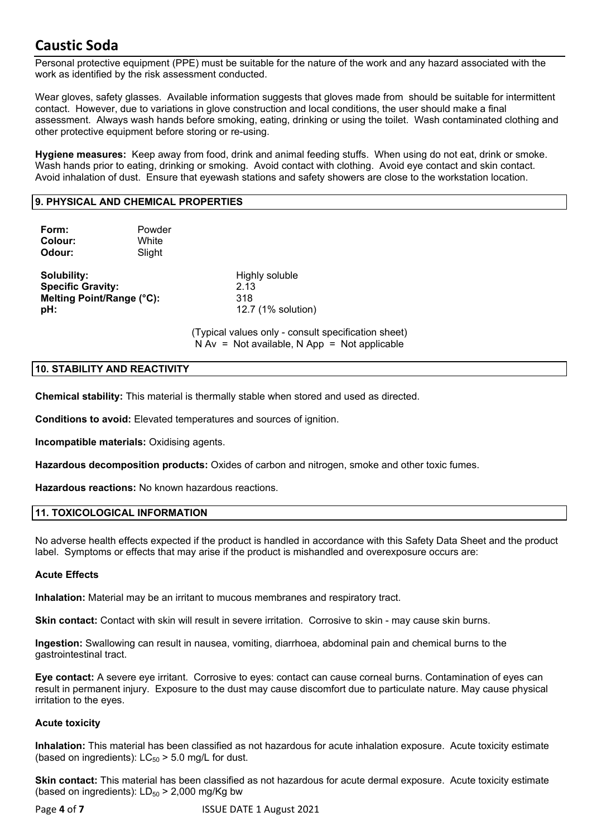Personal protective equipment (PPE) must be suitable for the nature of the work and any hazard associated with the work as identified by the risk assessment conducted.

Wear gloves, safety glasses. Available information suggests that gloves made from should be suitable for intermittent contact. However, due to variations in glove construction and local conditions, the user should make a final assessment. Always wash hands before smoking, eating, drinking or using the toilet. Wash contaminated clothing and other protective equipment before storing or re-using.

**Hygiene measures:** Keep away from food, drink and animal feeding stuffs. When using do not eat, drink or smoke. Wash hands prior to eating, drinking or smoking. Avoid contact with clothing. Avoid eye contact and skin contact. Avoid inhalation of dust. Ensure that eyewash stations and safety showers are close to the workstation location.

#### **9. PHYSICAL AND CHEMICAL PROPERTIES**

| Form:<br>Colour:<br>Odour:                                                  | Powder<br>White<br>Slight |                                                     |
|-----------------------------------------------------------------------------|---------------------------|-----------------------------------------------------|
| Solubility:<br><b>Specific Gravity:</b><br>Melting Point/Range (°C):<br>pH: |                           | Highly soluble<br>2.13<br>318<br>12.7 (1% solution) |

(Typical values only - consult specification sheet)  $N Av = Not available, N App = Not applicable$ 

#### **10. STABILITY AND REACTIVITY**

**Chemical stability:** This material is thermally stable when stored and used as directed.

**Conditions to avoid:** Elevated temperatures and sources of ignition.

**Incompatible materials:** Oxidising agents.

**Hazardous decomposition products:** Oxides of carbon and nitrogen, smoke and other toxic fumes.

**Hazardous reactions:** No known hazardous reactions.

#### **11. TOXICOLOGICAL INFORMATION**

No adverse health effects expected if the product is handled in accordance with this Safety Data Sheet and the product label. Symptoms or effects that may arise if the product is mishandled and overexposure occurs are:

#### **Acute Effects**

**Inhalation:** Material may be an irritant to mucous membranes and respiratory tract.

**Skin contact:** Contact with skin will result in severe irritation. Corrosive to skin - may cause skin burns.

**Ingestion:** Swallowing can result in nausea, vomiting, diarrhoea, abdominal pain and chemical burns to the gastrointestinal tract.

**Eye contact:** A severe eye irritant. Corrosive to eyes: contact can cause corneal burns. Contamination of eyes can result in permanent injury. Exposure to the dust may cause discomfort due to particulate nature. May cause physical irritation to the eyes.

#### **Acute toxicity**

**Inhalation:** This material has been classified as not hazardous for acute inhalation exposure. Acute toxicity estimate (based on ingredients):  $LC_{50}$  > 5.0 mg/L for dust.

**Skin contact:** This material has been classified as not hazardous for acute dermal exposure. Acute toxicity estimate (based on ingredients):  $LD_{50}$  > 2,000 mg/Kg bw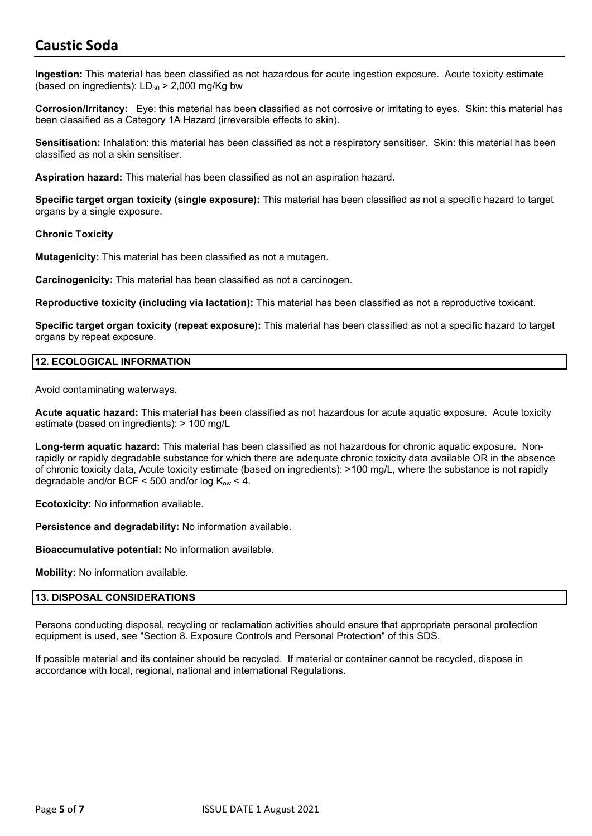**Ingestion:** This material has been classified as not hazardous for acute ingestion exposure. Acute toxicity estimate (based on ingredients):  $LD_{50}$  > 2,000 mg/Kg bw

**Corrosion/Irritancy:** Eye: this material has been classified as not corrosive or irritating to eyes. Skin: this material has been classified as a Category 1A Hazard (irreversible effects to skin).

**Sensitisation:** Inhalation: this material has been classified as not a respiratory sensitiser. Skin: this material has been classified as not a skin sensitiser.

**Aspiration hazard:** This material has been classified as not an aspiration hazard.

**Specific target organ toxicity (single exposure):** This material has been classified as not a specific hazard to target organs by a single exposure.

#### **Chronic Toxicity**

**Mutagenicity:** This material has been classified as not a mutagen.

**Carcinogenicity:** This material has been classified as not a carcinogen.

**Reproductive toxicity (including via lactation):** This material has been classified as not a reproductive toxicant.

**Specific target organ toxicity (repeat exposure):** This material has been classified as not a specific hazard to target organs by repeat exposure.

#### **12. ECOLOGICAL INFORMATION**

Avoid contaminating waterways.

**Acute aquatic hazard:** This material has been classified as not hazardous for acute aquatic exposure. Acute toxicity estimate (based on ingredients): > 100 mg/L

**Long-term aquatic hazard:** This material has been classified as not hazardous for chronic aquatic exposure. Nonrapidly or rapidly degradable substance for which there are adequate chronic toxicity data available OR in the absence of chronic toxicity data, Acute toxicity estimate (based on ingredients): >100 mg/L, where the substance is not rapidly degradable and/or BCF < 500 and/or log  $K_{ow}$  < 4.

**Ecotoxicity:** No information available.

**Persistence and degradability:** No information available.

**Bioaccumulative potential:** No information available.

**Mobility:** No information available.

#### **13. DISPOSAL CONSIDERATIONS**

Persons conducting disposal, recycling or reclamation activities should ensure that appropriate personal protection equipment is used, see "Section 8. Exposure Controls and Personal Protection" of this SDS.

If possible material and its container should be recycled. If material or container cannot be recycled, dispose in accordance with local, regional, national and international Regulations.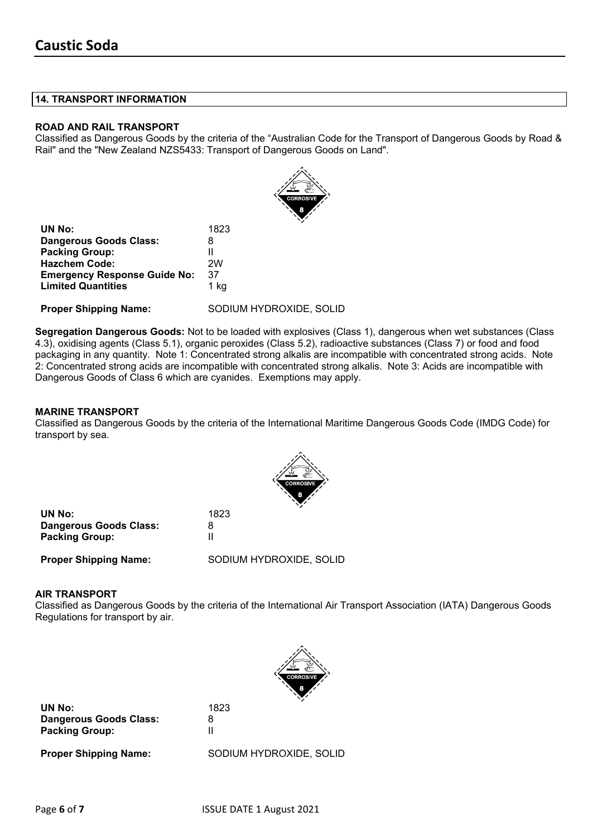#### **14. TRANSPORT INFORMATION**

#### **ROAD AND RAIL TRANSPORT**

Classified as Dangerous Goods by the criteria of the "Australian Code for the Transport of Dangerous Goods by Road & Rail" and the "New Zealand NZS5433: Transport of Dangerous Goods on Land".

|                                     | <b>CORROSIVE</b><br>8   |
|-------------------------------------|-------------------------|
| UN No:                              | 1823                    |
| <b>Dangerous Goods Class:</b>       | 8                       |
| <b>Packing Group:</b>               |                         |
| <b>Hazchem Code:</b>                | 2W                      |
| <b>Emergency Response Guide No:</b> | 37                      |
| <b>Limited Quantities</b>           | 1 kg                    |
| <b>Proper Shipping Name:</b>        | SODIUM HYDROXIDE, SOLID |

**Segregation Dangerous Goods:** Not to be loaded with explosives (Class 1), dangerous when wet substances (Class 4.3), oxidising agents (Class 5.1), organic peroxides (Class 5.2), radioactive substances (Class 7) or food and food packaging in any quantity. Note 1: Concentrated strong alkalis are incompatible with concentrated strong acids. Note 2: Concentrated strong acids are incompatible with concentrated strong alkalis. Note 3: Acids are incompatible with Dangerous Goods of Class 6 which are cyanides. Exemptions may apply.

#### **MARINE TRANSPORT**

Classified as Dangerous Goods by the criteria of the International Maritime Dangerous Goods Code (IMDG Code) for transport by sea.



| UN No:                        | 1823 |
|-------------------------------|------|
| <b>Dangerous Goods Class:</b> | 8    |
| <b>Packing Group:</b>         | Ш    |
|                               |      |

**Proper Shipping Name:** SODIUM HYDROXIDE, SOLID

#### **AIR TRANSPORT**

Classified as Dangerous Goods by the criteria of the International Air Transport Association (IATA) Dangerous Goods Regulations for transport by air.



**UN No:** 1823 **Dangerous Goods Class:** 8 **Packing Group:** II

**Proper Shipping Name:** SODIUM HYDROXIDE, SOLID